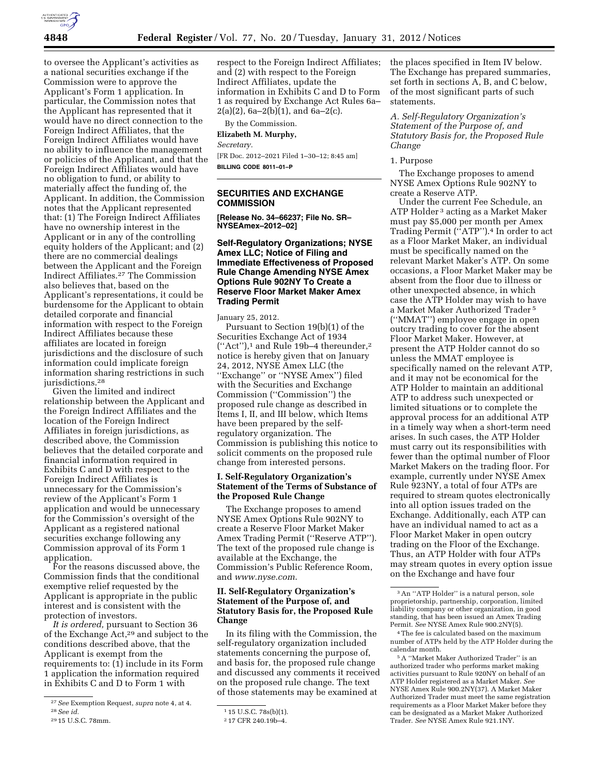

to oversee the Applicant's activities as a national securities exchange if the Commission were to approve the Applicant's Form 1 application. In particular, the Commission notes that the Applicant has represented that it would have no direct connection to the Foreign Indirect Affiliates, that the Foreign Indirect Affiliates would have no ability to influence the management or policies of the Applicant, and that the Foreign Indirect Affiliates would have no obligation to fund, or ability to materially affect the funding of, the Applicant. In addition, the Commission notes that the Applicant represented that: (1) The Foreign Indirect Affiliates have no ownership interest in the Applicant or in any of the controlling equity holders of the Applicant; and (2) there are no commercial dealings between the Applicant and the Foreign Indirect Affiliates.27 The Commission also believes that, based on the Applicant's representations, it could be burdensome for the Applicant to obtain detailed corporate and financial information with respect to the Foreign Indirect Affiliates because these affiliates are located in foreign jurisdictions and the disclosure of such information could implicate foreign information sharing restrictions in such jurisdictions.<sup>28</sup>

Given the limited and indirect relationship between the Applicant and the Foreign Indirect Affiliates and the location of the Foreign Indirect Affiliates in foreign jurisdictions, as described above, the Commission believes that the detailed corporate and financial information required in Exhibits C and D with respect to the Foreign Indirect Affiliates is unnecessary for the Commission's review of the Applicant's Form 1 application and would be unnecessary for the Commission's oversight of the Applicant as a registered national securities exchange following any Commission approval of its Form 1 application.

For the reasons discussed above, the Commission finds that the conditional exemptive relief requested by the Applicant is appropriate in the public interest and is consistent with the protection of investors.

*It is ordered,* pursuant to Section 36 of the Exchange Act,29 and subject to the conditions described above, that the Applicant is exempt from the requirements to: (1) include in its Form 1 application the information required in Exhibits C and D to Form 1 with

respect to the Foreign Indirect Affiliates; and (2) with respect to the Foreign Indirect Affiliates, update the information in Exhibits C and D to Form 1 as required by Exchange Act Rules 6a–  $2(a)(2)$ , 6a- $2(b)(1)$ , and 6a- $2(c)$ .

By the Commission.

#### **Elizabeth M. Murphy,**

*Secretary.* 

[FR Doc. 2012–2021 Filed 1–30–12; 8:45 am] **BILLING CODE 8011–01–P** 

## **SECURITIES AND EXCHANGE COMMISSION**

**[Release No. 34–66237; File No. SR– NYSEAmex–2012–02]** 

# **Self-Regulatory Organizations; NYSE Amex LLC; Notice of Filing and Immediate Effectiveness of Proposed Rule Change Amending NYSE Amex Options Rule 902NY To Create a Reserve Floor Market Maker Amex Trading Permit**

January 25, 2012.

Pursuant to Section 19(b)(1) of the Securities Exchange Act of 1934  $("Act")$ ,<sup>1</sup> and Rule 19b-4 thereunder,<sup>2</sup> notice is hereby given that on January 24, 2012, NYSE Amex LLC (the ''Exchange'' or ''NYSE Amex'') filed with the Securities and Exchange Commission (''Commission'') the proposed rule change as described in Items I, II, and III below, which Items have been prepared by the selfregulatory organization. The Commission is publishing this notice to solicit comments on the proposed rule change from interested persons.

### **I. Self-Regulatory Organization's Statement of the Terms of Substance of the Proposed Rule Change**

The Exchange proposes to amend NYSE Amex Options Rule 902NY to create a Reserve Floor Market Maker Amex Trading Permit (''Reserve ATP''). The text of the proposed rule change is available at the Exchange, the Commission's Public Reference Room, and *[www.nyse.com](http://www.nyse.com)*.

# **II. Self-Regulatory Organization's Statement of the Purpose of, and Statutory Basis for, the Proposed Rule Change**

In its filing with the Commission, the self-regulatory organization included statements concerning the purpose of, and basis for, the proposed rule change and discussed any comments it received on the proposed rule change. The text of those statements may be examined at

the places specified in Item IV below. The Exchange has prepared summaries, set forth in sections A, B, and C below, of the most significant parts of such statements.

*A. Self-Regulatory Organization's Statement of the Purpose of, and Statutory Basis for, the Proposed Rule Change* 

#### 1. Purpose

The Exchange proposes to amend NYSE Amex Options Rule 902NY to create a Reserve ATP.

Under the current Fee Schedule, an ATP Holder 3 acting as a Market Maker must pay \$5,000 per month per Amex Trading Permit (''ATP'').4 In order to act as a Floor Market Maker, an individual must be specifically named on the relevant Market Maker's ATP. On some occasions, a Floor Market Maker may be absent from the floor due to illness or other unexpected absence, in which case the ATP Holder may wish to have a Market Maker Authorized Trader 5 (''MMAT'') employee engage in open outcry trading to cover for the absent Floor Market Maker. However, at present the ATP Holder cannot do so unless the MMAT employee is specifically named on the relevant ATP, and it may not be economical for the ATP Holder to maintain an additional ATP to address such unexpected or limited situations or to complete the approval process for an additional ATP in a timely way when a short-term need arises. In such cases, the ATP Holder must carry out its responsibilities with fewer than the optimal number of Floor Market Makers on the trading floor. For example, currently under NYSE Amex Rule 923NY, a total of four ATPs are required to stream quotes electronically into all option issues traded on the Exchange. Additionally, each ATP can have an individual named to act as a Floor Market Maker in open outcry trading on the Floor of the Exchange. Thus, an ATP Holder with four ATPs may stream quotes in every option issue on the Exchange and have four

<sup>27</sup>*See* Exemption Request, *supra* note 4, at 4. 28*See id.* 

<sup>29</sup> 15 U.S.C. 78mm.

<sup>1</sup> 15 U.S.C. 78s(b)(1).

<sup>2</sup> 17 CFR 240.19b–4.

<sup>3</sup>An ''ATP Holder'' is a natural person, sole proprietorship, partnership, corporation, limited liability company or other organization, in good standing, that has been issued an Amex Trading Permit. *See* NYSE Amex Rule 900.2NY(5).

<sup>4</sup>The fee is calculated based on the maximum number of ATPs held by the ATP Holder during the calendar month.

<sup>5</sup>A ''Market Maker Authorized Trader'' is an authorized trader who performs market making activities pursuant to Rule 920NY on behalf of an ATP Holder registered as a Market Maker. *See*  NYSE Amex Rule 900.2NY(37). A Market Maker Authorized Trader must meet the same registration requirements as a Floor Market Maker before they can be designated as a Market Maker Authorized Trader. *See* NYSE Amex Rule 921.1NY.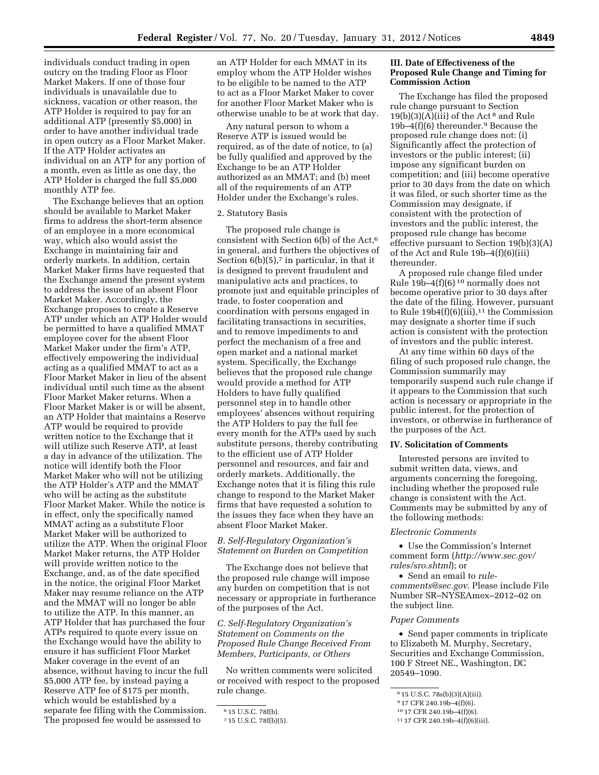individuals conduct trading in open outcry on the trading Floor as Floor Market Makers. If one of those four individuals is unavailable due to sickness, vacation or other reason, the ATP Holder is required to pay for an additional ATP (presently \$5,000) in order to have another individual trade in open outcry as a Floor Market Maker. If the ATP Holder activates an individual on an ATP for any portion of a month, even as little as one day, the ATP Holder is charged the full \$5,000 monthly ATP fee.

The Exchange believes that an option should be available to Market Maker firms to address the short-term absence of an employee in a more economical way, which also would assist the Exchange in maintaining fair and orderly markets. In addition, certain Market Maker firms have requested that the Exchange amend the present system to address the issue of an absent Floor Market Maker. Accordingly, the Exchange proposes to create a Reserve ATP under which an ATP Holder would be permitted to have a qualified MMAT employee cover for the absent Floor Market Maker under the firm's ATP, effectively empowering the individual acting as a qualified MMAT to act as a Floor Market Maker in lieu of the absent individual until such time as the absent Floor Market Maker returns. When a Floor Market Maker is or will be absent, an ATP Holder that maintains a Reserve ATP would be required to provide written notice to the Exchange that it will utilize such Reserve ATP, at least a day in advance of the utilization. The notice will identify both the Floor Market Maker who will not be utilizing the ATP Holder's ATP and the MMAT who will be acting as the substitute Floor Market Maker. While the notice is in effect, only the specifically named MMAT acting as a substitute Floor Market Maker will be authorized to utilize the ATP. When the original Floor Market Maker returns, the ATP Holder will provide written notice to the Exchange, and, as of the date specified in the notice, the original Floor Market Maker may resume reliance on the ATP and the MMAT will no longer be able to utilize the ATP. In this manner, an ATP Holder that has purchased the four ATPs required to quote every issue on the Exchange would have the ability to ensure it has sufficient Floor Market Maker coverage in the event of an absence, without having to incur the full \$5,000 ATP fee, by instead paying a Reserve ATP fee of \$175 per month, which would be established by a separate fee filing with the Commission. The proposed fee would be assessed to

an ATP Holder for each MMAT in its employ whom the ATP Holder wishes to be eligible to be named to the ATP to act as a Floor Market Maker to cover for another Floor Market Maker who is otherwise unable to be at work that day.

Any natural person to whom a Reserve ATP is issued would be required, as of the date of notice, to (a) be fully qualified and approved by the Exchange to be an ATP Holder authorized as an MMAT; and (b) meet all of the requirements of an ATP Holder under the Exchange's rules.

#### 2. Statutory Basis

The proposed rule change is consistent with Section 6(b) of the Act,6 in general, and furthers the objectives of Section  $6(b)(5)$ , in particular, in that it is designed to prevent fraudulent and manipulative acts and practices, to promote just and equitable principles of trade, to foster cooperation and coordination with persons engaged in facilitating transactions in securities, and to remove impediments to and perfect the mechanism of a free and open market and a national market system. Specifically, the Exchange believes that the proposed rule change would provide a method for ATP Holders to have fully qualified personnel step in to handle other employees' absences without requiring the ATP Holders to pay the full fee every month for the ATPs used by such substitute persons, thereby contributing to the efficient use of ATP Holder personnel and resources, and fair and orderly markets. Additionally, the Exchange notes that it is filing this rule change to respond to the Market Maker firms that have requested a solution to the issues they face when they have an absent Floor Market Maker.

## *B. Self-Regulatory Organization's Statement on Burden on Competition*

The Exchange does not believe that the proposed rule change will impose any burden on competition that is not necessary or appropriate in furtherance of the purposes of the Act.

*C. Self-Regulatory Organization's Statement on Comments on the Proposed Rule Change Received From Members, Participants, or Others* 

No written comments were solicited or received with respect to the proposed rule change.

## **III. Date of Effectiveness of the Proposed Rule Change and Timing for Commission Action**

The Exchange has filed the proposed rule change pursuant to Section  $19(b)(3)(A)(iii)$  of the Act<sup>8</sup> and Rule 19b–4(f)(6) thereunder.9 Because the proposed rule change does not: (i) Significantly affect the protection of investors or the public interest; (ii) impose any significant burden on competition; and (iii) become operative prior to 30 days from the date on which it was filed, or such shorter time as the Commission may designate, if consistent with the protection of investors and the public interest, the proposed rule change has become effective pursuant to Section 19(b)(3)(A) of the Act and Rule 19b–4(f)(6)(iii) thereunder.

A proposed rule change filed under Rule  $19\bar{b}$ –4(f)(6)<sup>10</sup> normally does not become operative prior to 30 days after the date of the filing. However, pursuant to Rule  $19b4(f)(6)(iii)$ ,<sup>11</sup> the Commission may designate a shorter time if such action is consistent with the protection of investors and the public interest.

At any time within 60 days of the filing of such proposed rule change, the Commission summarily may temporarily suspend such rule change if it appears to the Commission that such action is necessary or appropriate in the public interest, for the protection of investors, or otherwise in furtherance of the purposes of the Act.

#### **IV. Solicitation of Comments**

Interested persons are invited to submit written data, views, and arguments concerning the foregoing, including whether the proposed rule change is consistent with the Act. Comments may be submitted by any of the following methods:

### *Electronic Comments*

• Use the Commission's Internet comment form (*[http://www.sec.gov/](http://www.sec.gov/rules/sro.shtml)  [rules/sro.shtml](http://www.sec.gov/rules/sro.shtml)*); or

• Send an email to *[rule](mailto:rule-comments@sec.gov)[comments@sec.gov](mailto:rule-comments@sec.gov)*. Please include File Number SR–NYSEAmex–2012–02 on the subject line.

#### *Paper Comments*

• Send paper comments in triplicate to Elizabeth M. Murphy, Secretary, Securities and Exchange Commission, 100 F Street NE., Washington, DC 20549–1090.

<sup>6</sup> 15 U.S.C. 78f(b).

<sup>7</sup> 15 U.S.C. 78f(b)(5).

<sup>8</sup> 15 U.S.C. 78s(b)(3)(A)(iii).

<sup>9</sup> 17 CFR 240.19b–4(f)(6).

<sup>10</sup> 17 CFR 240.19b–4(f)(6).

<sup>11</sup> 17 CFR 240.19b–4(f)(6)(iii).